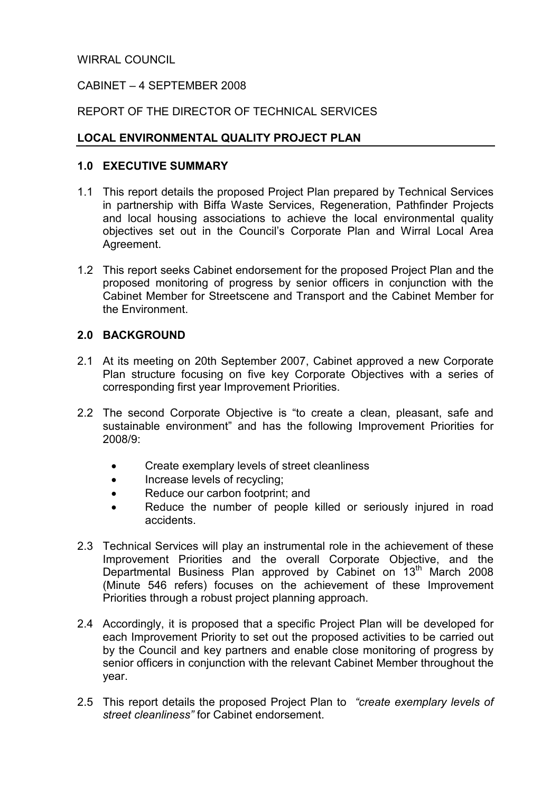#### WIRRAL COUNCIL

## CABINET – 4 SEPTEMBER 2008

## REPORT OF THE DIRECTOR OF TECHNICAL SERVICES

## LOCAL ENVIRONMENTAL QUALITY PROJECT PLAN

#### 1.0 EXECUTIVE SUMMARY

- 1.1 This report details the proposed Project Plan prepared by Technical Services in partnership with Biffa Waste Services, Regeneration, Pathfinder Projects and local housing associations to achieve the local environmental quality objectives set out in the Council's Corporate Plan and Wirral Local Area Agreement.
- 1.2 This report seeks Cabinet endorsement for the proposed Project Plan and the proposed monitoring of progress by senior officers in conjunction with the Cabinet Member for Streetscene and Transport and the Cabinet Member for the Environment.

#### 2.0 BACKGROUND

- 2.1 At its meeting on 20th September 2007, Cabinet approved a new Corporate Plan structure focusing on five key Corporate Objectives with a series of corresponding first year Improvement Priorities.
- 2.2 The second Corporate Objective is "to create a clean, pleasant, safe and sustainable environment" and has the following Improvement Priorities for 2008/9:
	- Create exemplary levels of street cleanliness
	- Increase levels of recycling:
	- Reduce our carbon footprint; and
	- Reduce the number of people killed or seriously injured in road accidents.
- 2.3 Technical Services will play an instrumental role in the achievement of these Improvement Priorities and the overall Corporate Objective, and the Departmental Business Plan approved by Cabinet on 13<sup>th</sup> March 2008 (Minute 546 refers) focuses on the achievement of these Improvement Priorities through a robust project planning approach.
- 2.4 Accordingly, it is proposed that a specific Project Plan will be developed for each Improvement Priority to set out the proposed activities to be carried out by the Council and key partners and enable close monitoring of progress by senior officers in conjunction with the relevant Cabinet Member throughout the year.
- 2.5 This report details the proposed Project Plan to "create exemplary levels of street cleanliness" for Cabinet endorsement.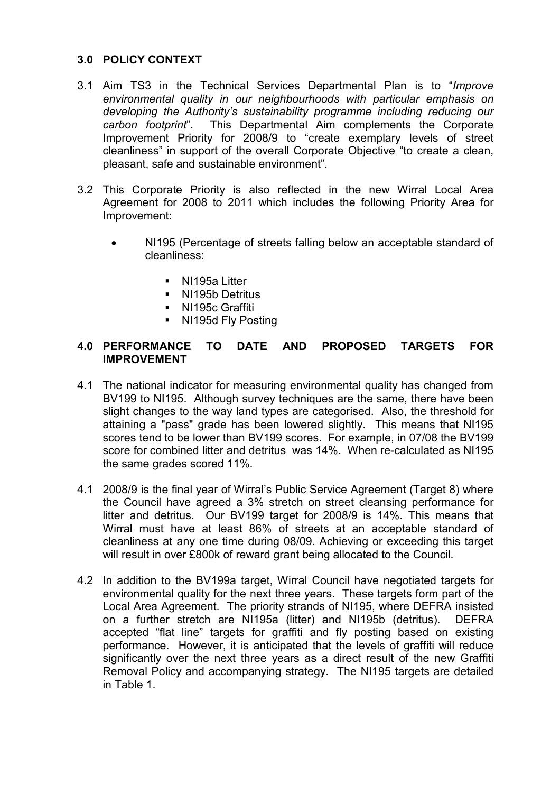## 3.0 POLICY CONTEXT

- 3.1 Aim TS3 in the Technical Services Departmental Plan is to "Improve environmental quality in our neighbourhoods with particular emphasis on developing the Authority's sustainability programme including reducing our carbon footprint". This Departmental Aim complements the Corporate Improvement Priority for 2008/9 to "create exemplary levels of street cleanliness" in support of the overall Corporate Objective "to create a clean, pleasant, safe and sustainable environment".
- 3.2 This Corporate Priority is also reflected in the new Wirral Local Area Agreement for 2008 to 2011 which includes the following Priority Area for Improvement:
	- NI195 (Percentage of streets falling below an acceptable standard of cleanliness:
		- § NI195a Litter
		- § NI195b Detritus
		- § NI195c Graffiti
		- NI195d Fly Posting

## 4.0 PERFORMANCE TO DATE AND PROPOSED TARGETS FOR IMPROVEMENT

- 4.1 The national indicator for measuring environmental quality has changed from BV199 to NI195. Although survey techniques are the same, there have been slight changes to the way land types are categorised. Also, the threshold for attaining a "pass" grade has been lowered slightly. This means that NI195 scores tend to be lower than BV199 scores. For example, in 07/08 the BV199 score for combined litter and detritus was 14%. When re-calculated as NI195 the same grades scored 11%.
- 4.1 2008/9 is the final year of Wirral's Public Service Agreement (Target 8) where the Council have agreed a 3% stretch on street cleansing performance for litter and detritus. Our BV199 target for 2008/9 is 14%. This means that Wirral must have at least 86% of streets at an acceptable standard of cleanliness at any one time during 08/09. Achieving or exceeding this target will result in over £800k of reward grant being allocated to the Council.
- 4.2 In addition to the BV199a target, Wirral Council have negotiated targets for environmental quality for the next three years. These targets form part of the Local Area Agreement. The priority strands of NI195, where DEFRA insisted on a further stretch are NI195a (litter) and NI195b (detritus). DEFRA accepted "flat line" targets for graffiti and fly posting based on existing performance. However, it is anticipated that the levels of graffiti will reduce significantly over the next three years as a direct result of the new Graffiti Removal Policy and accompanying strategy. The NI195 targets are detailed in Table 1.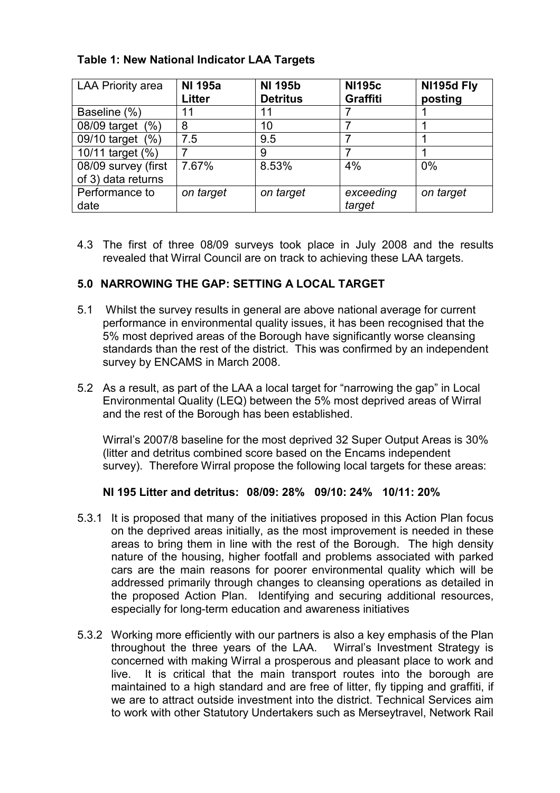# Table 1: New National Indicator LAA Targets

| <b>LAA Priority area</b> | <b>NI 195a</b><br>Litter | <b>NI 195b</b><br><b>Detritus</b> | <b>NI195c</b><br><b>Graffiti</b> | NI195d Fly<br>posting |
|--------------------------|--------------------------|-----------------------------------|----------------------------------|-----------------------|
| Baseline (%)             | 11                       | 11                                |                                  |                       |
| 08/09 target<br>(% )     | 8                        | 10                                |                                  |                       |
| 09/10 target<br>(%)      | 7.5                      | 9.5                               |                                  |                       |
| 10/11 target (%)         |                          | 9                                 |                                  |                       |
| 08/09 survey (first      | 7.67%                    | 8.53%                             | 4%                               | 0%                    |
| of 3) data returns       |                          |                                   |                                  |                       |
| Performance to           | on target                | on target                         | exceeding                        | on target             |
| date                     |                          |                                   | target                           |                       |

4.3 The first of three 08/09 surveys took place in July 2008 and the results revealed that Wirral Council are on track to achieving these LAA targets.

## 5.0 NARROWING THE GAP: SETTING A LOCAL TARGET

- 5.1 Whilst the survey results in general are above national average for current performance in environmental quality issues, it has been recognised that the 5% most deprived areas of the Borough have significantly worse cleansing standards than the rest of the district. This was confirmed by an independent survey by ENCAMS in March 2008.
- 5.2 As a result, as part of the LAA a local target for "narrowing the gap" in Local Environmental Quality (LEQ) between the 5% most deprived areas of Wirral and the rest of the Borough has been established.

Wirral's 2007/8 baseline for the most deprived 32 Super Output Areas is 30% (litter and detritus combined score based on the Encams independent survey). Therefore Wirral propose the following local targets for these areas:

#### NI 195 Litter and detritus: 08/09: 28% 09/10: 24% 10/11: 20%

- 5.3.1 It is proposed that many of the initiatives proposed in this Action Plan focus on the deprived areas initially, as the most improvement is needed in these areas to bring them in line with the rest of the Borough. The high density nature of the housing, higher footfall and problems associated with parked cars are the main reasons for poorer environmental quality which will be addressed primarily through changes to cleansing operations as detailed in the proposed Action Plan. Identifying and securing additional resources, especially for long-term education and awareness initiatives
- 5.3.2 Working more efficiently with our partners is also a key emphasis of the Plan throughout the three years of the LAA. Wirral's Investment Strategy is concerned with making Wirral a prosperous and pleasant place to work and live. It is critical that the main transport routes into the borough are maintained to a high standard and are free of litter, fly tipping and graffiti, if we are to attract outside investment into the district. Technical Services aim to work with other Statutory Undertakers such as Merseytravel, Network Rail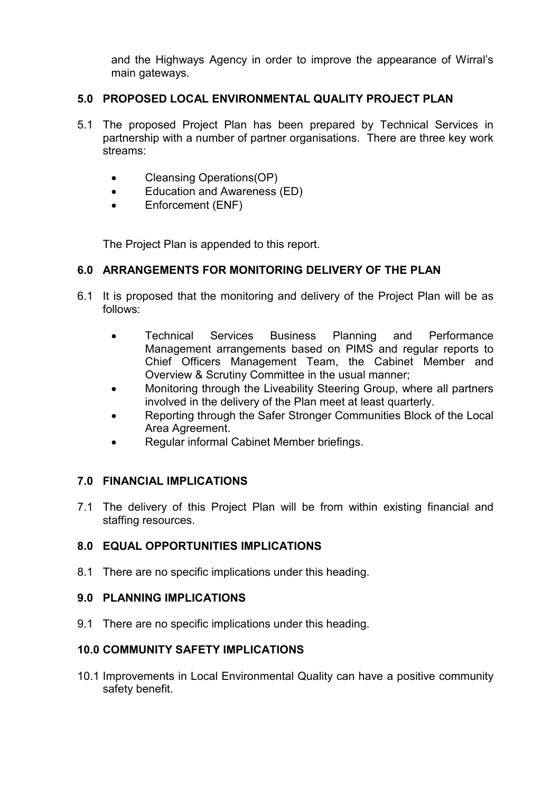and the Highways Agency in order to improve the appearance of Wirral's main gateways.

## 5.0 PROPOSED LOCAL ENVIRONMENTAL QUALITY PROJECT PLAN

- 5.1 The proposed Project Plan has been prepared by Technical Services in partnership with a number of partner organisations. There are three key work streams:
	- Cleansing Operations (OP)
	- Education and Awareness (ED)
	- Enforcement (ENF)

The Project Plan is appended to this report.

## 6.0 ARRANGEMENTS FOR MONITORING DELIVERY OF THE PLAN

- 6.1 It is proposed that the monitoring and delivery of the Project Plan will be as follows:
	- Technical Services Business Planning and Performance Management arrangements based on PIMS and regular reports to Chief Officers Management Team, the Cabinet Member and Overview & Scrutiny Committee in the usual manner;
	- Monitoring through the Liveability Steering Group, where all partners involved in the delivery of the Plan meet at least quarterly.
	- Reporting through the Safer Stronger Communities Block of the Local Area Agreement.
	- Regular informal Cabinet Member briefings.

# 7.0 FINANCIAL IMPLICATIONS

7.1 The delivery of this Project Plan will be from within existing financial and staffing resources.

# 8.0 EQUAL OPPORTUNITIES IMPLICATIONS

8.1 There are no specific implications under this heading.

#### 9.0 PLANNING IMPLICATIONS

9.1 There are no specific implications under this heading.

#### 10.0 COMMUNITY SAFETY IMPLICATIONS

10.1 Improvements in Local Environmental Quality can have a positive community safety benefit.